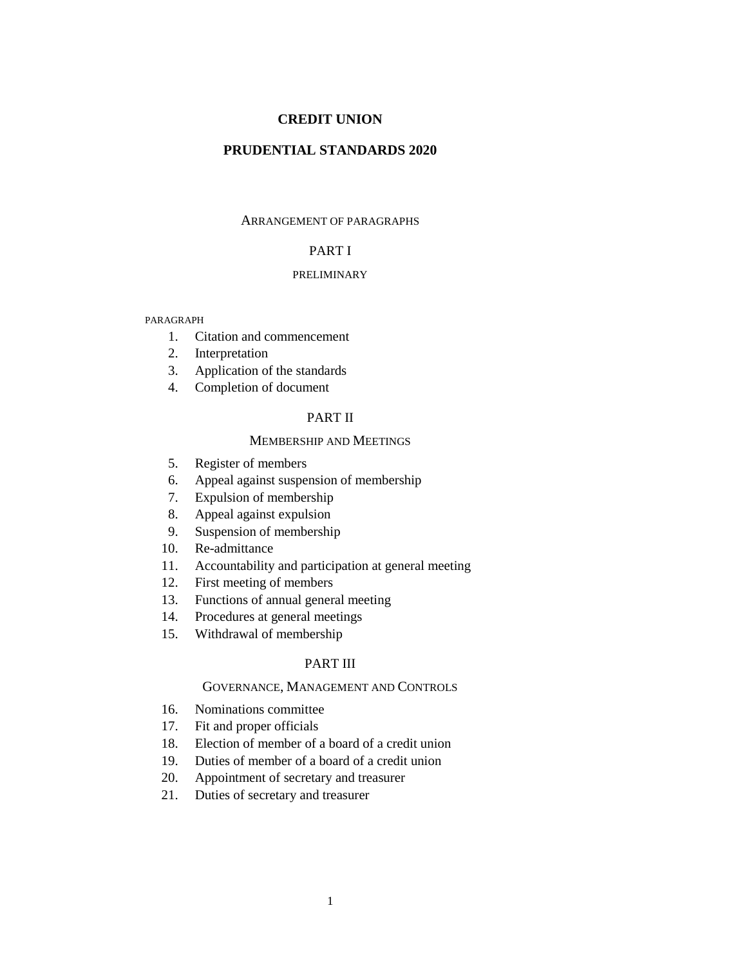# **CREDIT UNION**

# **PRUDENTIAL STANDARDS 2020**

# ARRANGEMENT OF PARAGRAPHS

# PART I

# PRELIMINARY

#### PARAGRAPH

- 1. Citation and commencement
- 2. Interpretation
- 3. Application of the standards
- 4. Completion of document

# PART II

# MEMBERSHIP AND MEETINGS

- 5. Register of members
- 6. Appeal against suspension of membership
- 7. Expulsion of membership
- 8. Appeal against expulsion
- 9. Suspension of membership
- 10. Re-admittance
- 11. Accountability and participation at general meeting
- 12. First meeting of members
- 13. Functions of annual general meeting
- 14. Procedures at general meetings
- 15. Withdrawal of membership

# PART III

## GOVERNANCE, MANAGEMENT AND CONTROLS

- 16. Nominations committee
- 17. Fit and proper officials
- 18. Election of member of a board of a credit union
- 19. Duties of member of a board of a credit union
- 20. Appointment of secretary and treasurer
- 21. Duties of secretary and treasurer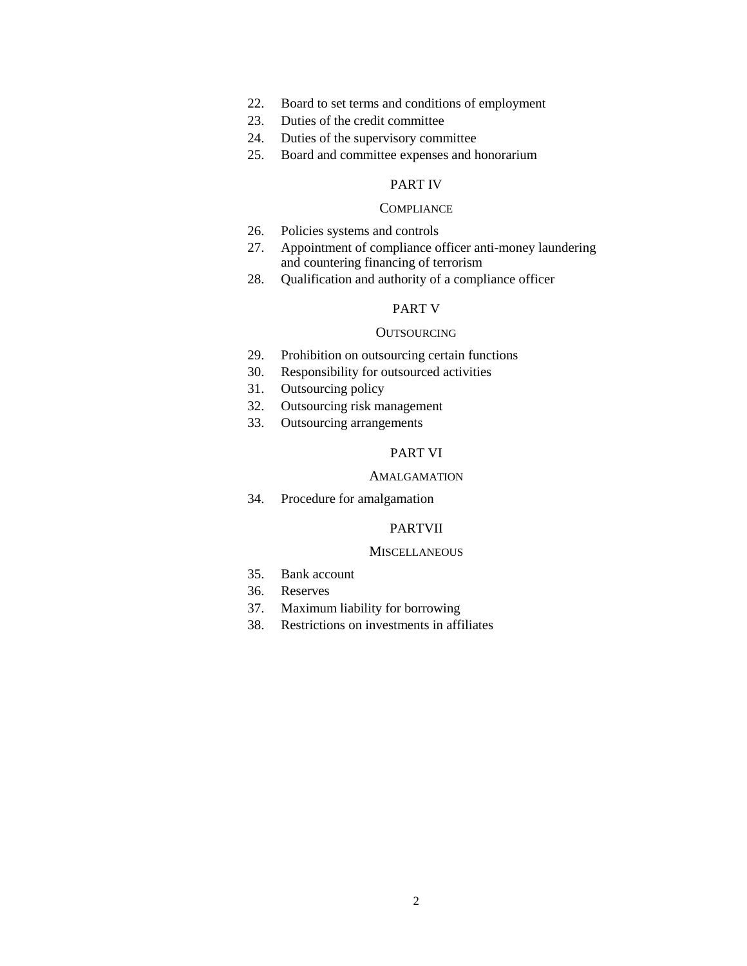- 22. Board to set terms and conditions of employment
- 23. Duties of the credit committee
- 24. Duties of the supervisory committee
- 25. Board and committee expenses and honorarium

# PART IV

# **COMPLIANCE**

- 26. Policies systems and controls
- 27. Appointment of compliance officer anti-money laundering and countering financing of terrorism
- 28. Qualification and authority of a compliance officer

# PART V

### **OUTSOURCING**

- 29. Prohibition on outsourcing certain functions
- 30. Responsibility for outsourced activities
- 31. Outsourcing policy
- 32. Outsourcing risk management
- 33. Outsourcing arrangements

# PART VI

### AMALGAMATION

34. Procedure for amalgamation

# PARTVII

## **MISCELLANEOUS**

- 35. Bank account
- 36. Reserves
- 37. Maximum liability for borrowing
- 38. Restrictions on investments in affiliates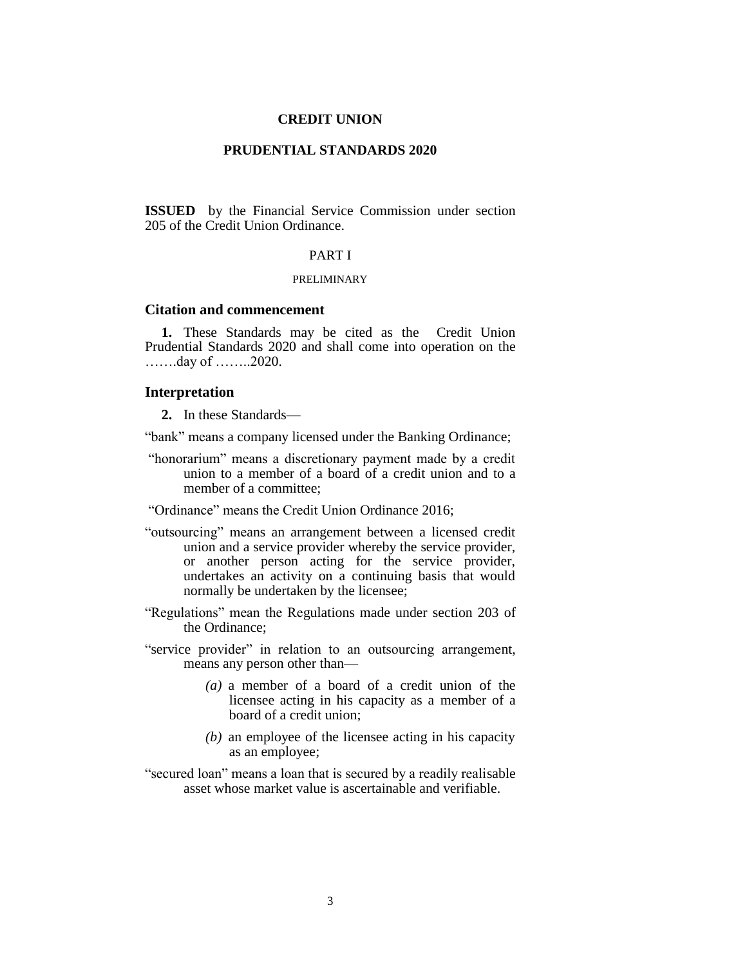## **CREDIT UNION**

# **PRUDENTIAL STANDARDS 2020**

**ISSUED** by the Financial Service Commission under section 205 of the Credit Union Ordinance.

# PART I

#### PRELIMINARY

### **Citation and commencement**

**1.** These Standards may be cited as the Credit Union Prudential Standards 2020 and shall come into operation on the …….day of ……..2020.

## **Interpretation**

**2.** In these Standards—

"bank" means a company licensed under the Banking Ordinance;

- "honorarium" means a discretionary payment made by a credit union to a member of a board of a credit union and to a member of a committee;
- "Ordinance" means the Credit Union Ordinance 2016;
- "outsourcing" means an arrangement between a licensed credit union and a service provider whereby the service provider, or another person acting for the service provider, undertakes an activity on a continuing basis that would normally be undertaken by the licensee;
- "Regulations" mean the Regulations made under section 203 of the Ordinance;
- "service provider" in relation to an outsourcing arrangement, means any person other than—
	- *(a)* a member of a board of a credit union of the licensee acting in his capacity as a member of a board of a credit union;
	- *(b)* an employee of the licensee acting in his capacity as an employee;
- "secured loan" means a loan that is secured by a readily realisable asset whose market value is ascertainable and verifiable.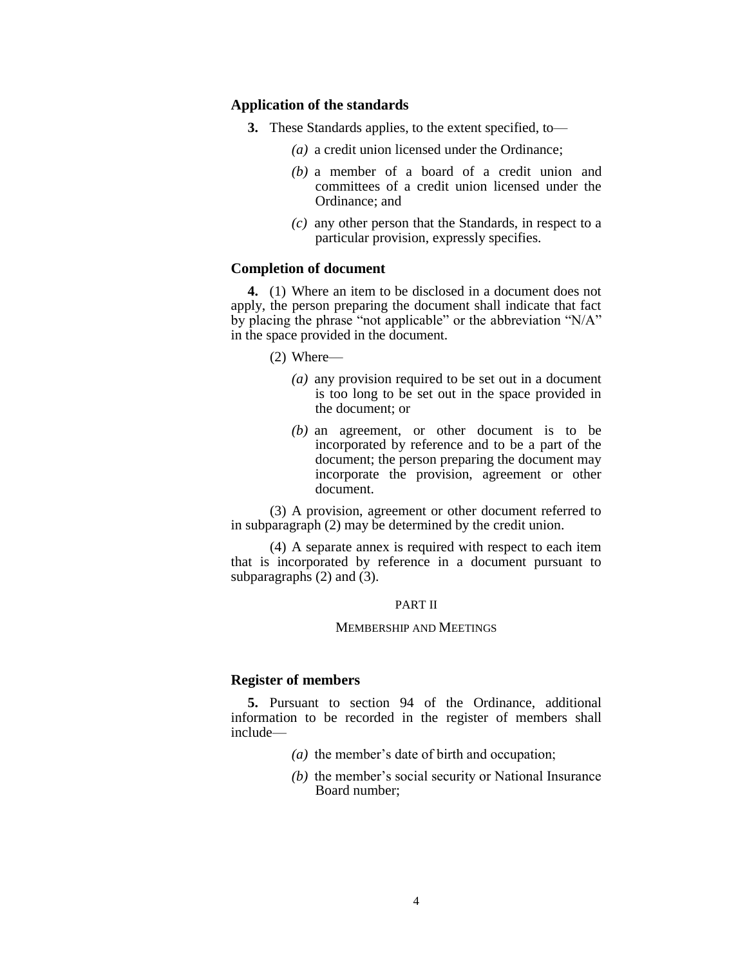#### **Application of the standards**

- **3.** These Standards applies, to the extent specified, to—
	- *(a)* a credit union licensed under the Ordinance;
	- *(b)* a member of a board of a credit union and committees of a credit union licensed under the Ordinance; and
	- *(c)* any other person that the Standards, in respect to a particular provision, expressly specifies.

# **Completion of document**

**4.** (1) Where an item to be disclosed in a document does not apply, the person preparing the document shall indicate that fact by placing the phrase "not applicable" or the abbreviation "N/A" in the space provided in the document.

(2) Where—

- *(a)* any provision required to be set out in a document is too long to be set out in the space provided in the document; or
- *(b)* an agreement, or other document is to be incorporated by reference and to be a part of the document; the person preparing the document may incorporate the provision, agreement or other document.

(3) A provision, agreement or other document referred to in subparagraph (2) may be determined by the credit union.

(4) A separate annex is required with respect to each item that is incorporated by reference in a document pursuant to subparagraphs  $(2)$  and  $(3)$ .

#### PART II

#### MEMBERSHIP AND MEETINGS

### **Register of members**

**5.** Pursuant to section 94 of the Ordinance, additional information to be recorded in the register of members shall include—

- *(a)* the member's date of birth and occupation;
- *(b)* the member's social security or National Insurance Board number;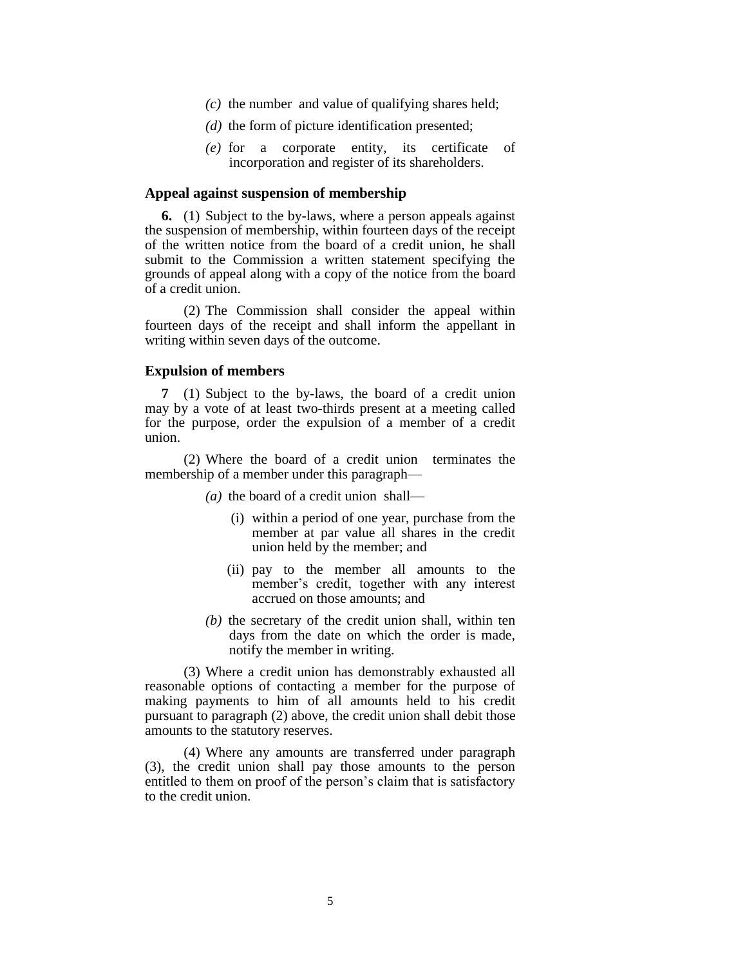- *(c)* the number and value of qualifying shares held;
- *(d)* the form of picture identification presented;
- *(e)* for a corporate entity, its certificate of incorporation and register of its shareholders.

#### **Appeal against suspension of membership**

**6.** (1) Subject to the by-laws, where a person appeals against the suspension of membership, within fourteen days of the receipt of the written notice from the board of a credit union, he shall submit to the Commission a written statement specifying the grounds of appeal along with a copy of the notice from the board of a credit union.

(2) The Commission shall consider the appeal within fourteen days of the receipt and shall inform the appellant in writing within seven days of the outcome.

## **Expulsion of members**

**7** (1) Subject to the by-laws, the board of a credit union may by a vote of at least two-thirds present at a meeting called for the purpose, order the expulsion of a member of a credit union.

(2) Where the board of a credit union terminates the membership of a member under this paragraph—

- *(a)* the board of a credit union shall—
	- (i) within a period of one year, purchase from the member at par value all shares in the credit union held by the member; and
	- (ii) pay to the member all amounts to the member's credit, together with any interest accrued on those amounts; and
- *(b)* the secretary of the credit union shall, within ten days from the date on which the order is made, notify the member in writing.

(3) Where a credit union has demonstrably exhausted all reasonable options of contacting a member for the purpose of making payments to him of all amounts held to his credit pursuant to paragraph (2) above, the credit union shall debit those amounts to the statutory reserves.

(4) Where any amounts are transferred under paragraph (3), the credit union shall pay those amounts to the person entitled to them on proof of the person's claim that is satisfactory to the credit union.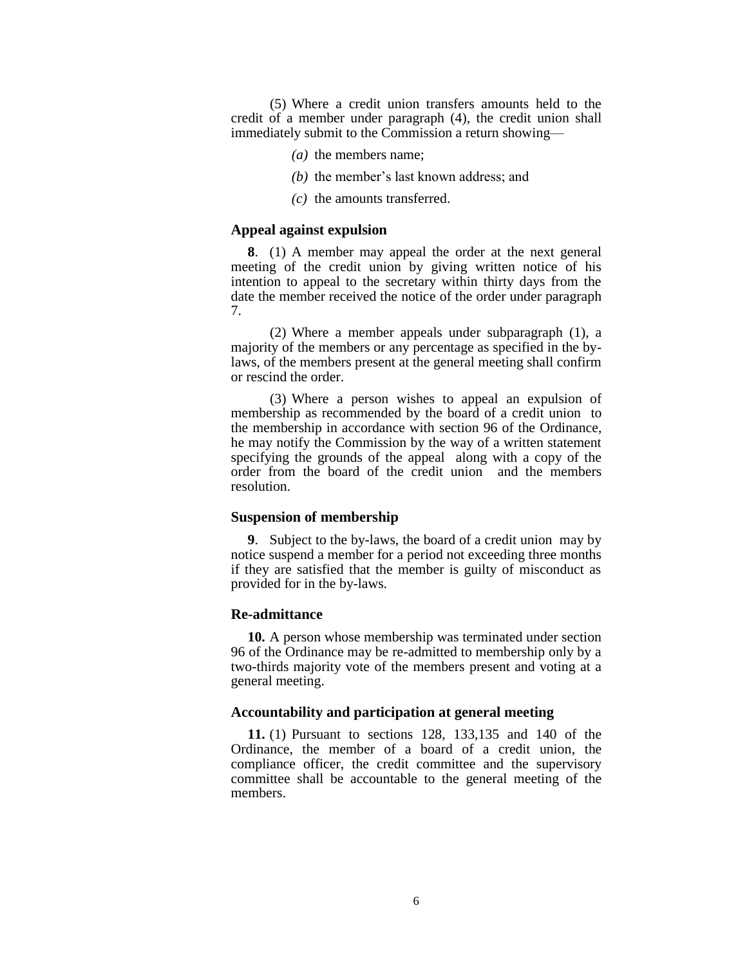(5) Where a credit union transfers amounts held to the credit of a member under paragraph (4), the credit union shall immediately submit to the Commission a return showing—

- *(a)* the members name;
- *(b)* the member's last known address; and
- *(c)* the amounts transferred.

# **Appeal against expulsion**

**8**. (1) A member may appeal the order at the next general meeting of the credit union by giving written notice of his intention to appeal to the secretary within thirty days from the date the member received the notice of the order under paragraph 7.

(2) Where a member appeals under subparagraph (1), a majority of the members or any percentage as specified in the bylaws, of the members present at the general meeting shall confirm or rescind the order.

(3) Where a person wishes to appeal an expulsion of membership as recommended by the board of a credit union to the membership in accordance with section 96 of the Ordinance, he may notify the Commission by the way of a written statement specifying the grounds of the appeal along with a copy of the order from the board of the credit union and the members resolution.

#### **Suspension of membership**

**9**. Subject to the by-laws, the board of a credit union may by notice suspend a member for a period not exceeding three months if they are satisfied that the member is guilty of misconduct as provided for in the by-laws.

#### **Re-admittance**

**10.** A person whose membership was terminated under section 96 of the Ordinance may be re-admitted to membership only by a two-thirds majority vote of the members present and voting at a general meeting.

# **Accountability and participation at general meeting**

**11.** (1) Pursuant to sections 128, 133,135 and 140 of the Ordinance, the member of a board of a credit union, the compliance officer, the credit committee and the supervisory committee shall be accountable to the general meeting of the members.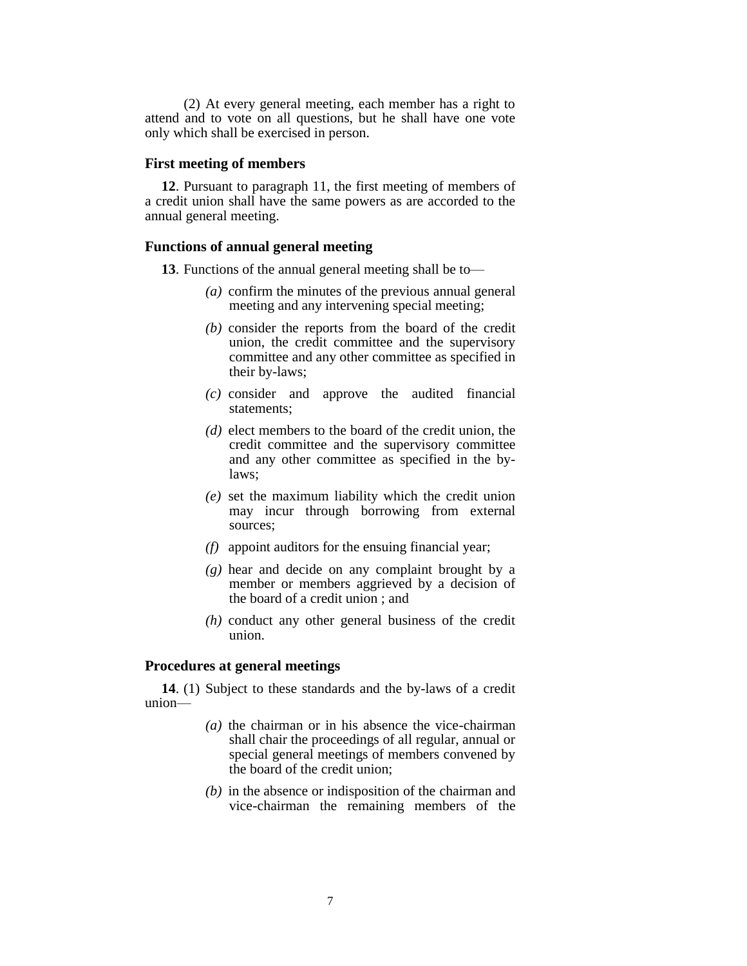(2) At every general meeting, each member has a right to attend and to vote on all questions, but he shall have one vote only which shall be exercised in person.

# **First meeting of members**

**12**. Pursuant to paragraph 11, the first meeting of members of a credit union shall have the same powers as are accorded to the annual general meeting.

# **Functions of annual general meeting**

**13**. Functions of the annual general meeting shall be to—

- *(a)* confirm the minutes of the previous annual general meeting and any intervening special meeting;
- *(b)* consider the reports from the board of the credit union, the credit committee and the supervisory committee and any other committee as specified in their by-laws;
- *(c)* consider and approve the audited financial statements;
- *(d)* elect members to the board of the credit union, the credit committee and the supervisory committee and any other committee as specified in the bylaws;
- *(e)* set the maximum liability which the credit union may incur through borrowing from external sources;
- *(f)* appoint auditors for the ensuing financial year;
- *(g)* hear and decide on any complaint brought by a member or members aggrieved by a decision of the board of a credit union ; and
- *(h)* conduct any other general business of the credit union.

#### **Procedures at general meetings**

**14**. (1) Subject to these standards and the by-laws of a credit union—

- *(a)* the chairman or in his absence the vice-chairman shall chair the proceedings of all regular, annual or special general meetings of members convened by the board of the credit union;
- *(b)* in the absence or indisposition of the chairman and vice-chairman the remaining members of the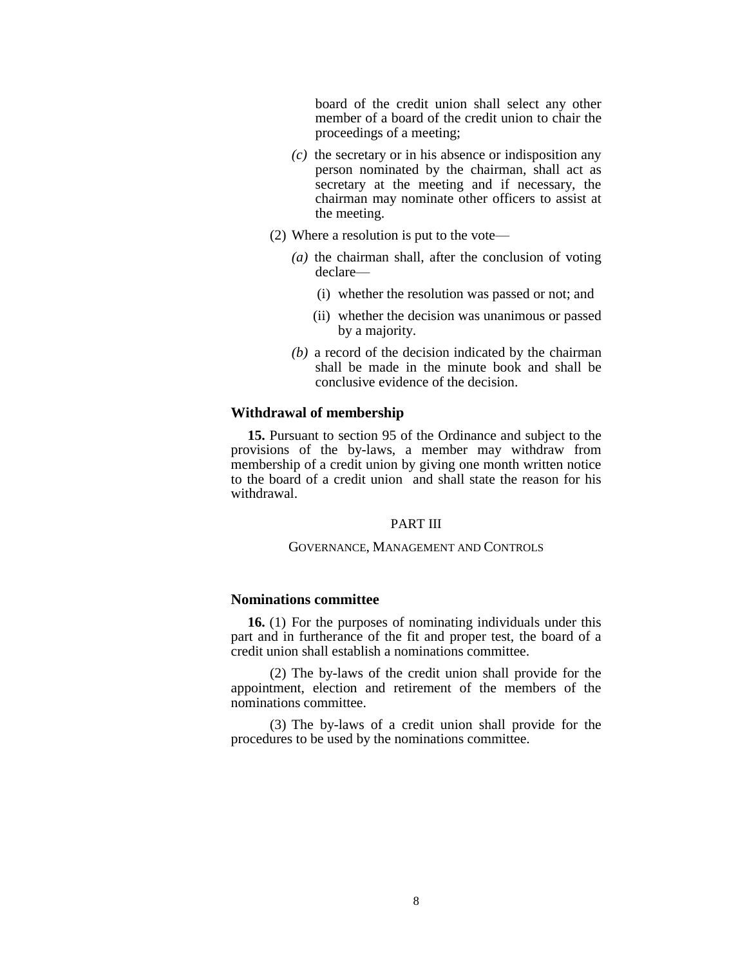board of the credit union shall select any other member of a board of the credit union to chair the proceedings of a meeting;

- *(c)* the secretary or in his absence or indisposition any person nominated by the chairman, shall act as secretary at the meeting and if necessary, the chairman may nominate other officers to assist at the meeting.
- (2) Where a resolution is put to the vote—
	- *(a)* the chairman shall, after the conclusion of voting declare—
		- (i) whether the resolution was passed or not; and
		- (ii) whether the decision was unanimous or passed by a majority.
	- *(b)* a record of the decision indicated by the chairman shall be made in the minute book and shall be conclusive evidence of the decision.

#### **Withdrawal of membership**

**15.** Pursuant to section 95 of the Ordinance and subject to the provisions of the by-laws, a member may withdraw from membership of a credit union by giving one month written notice to the board of a credit union and shall state the reason for his withdrawal.

### PART III

### GOVERNANCE, MANAGEMENT AND CONTROLS

# **Nominations committee**

**16.** (1) For the purposes of nominating individuals under this part and in furtherance of the fit and proper test, the board of a credit union shall establish a nominations committee.

(2) The by-laws of the credit union shall provide for the appointment, election and retirement of the members of the nominations committee.

(3) The by-laws of a credit union shall provide for the procedures to be used by the nominations committee.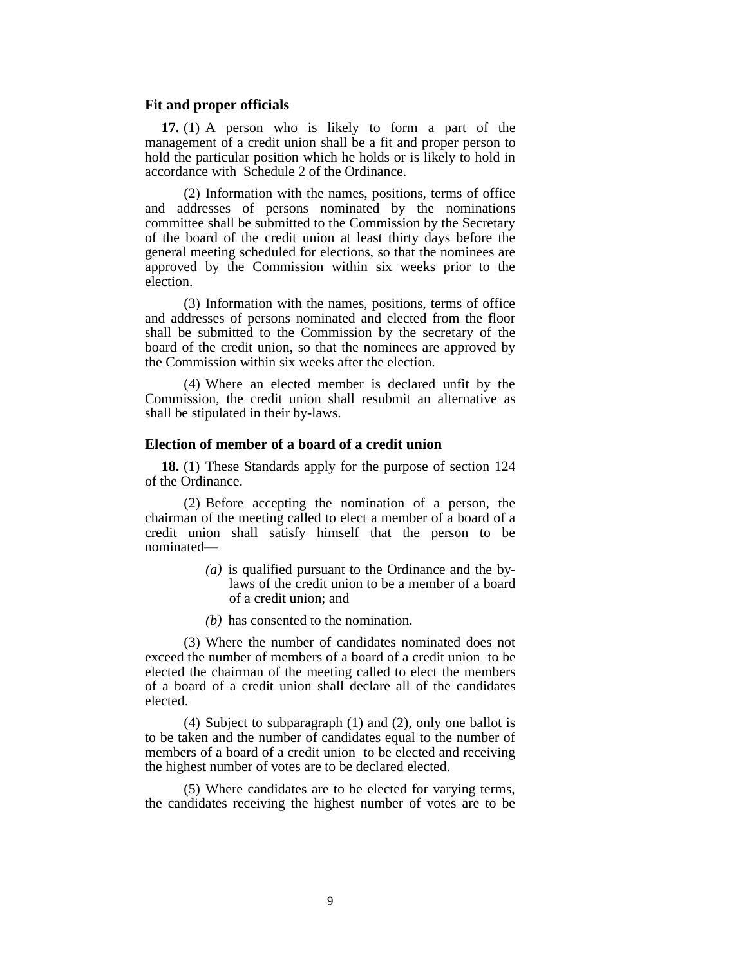#### **Fit and proper officials**

**17.** (1) A person who is likely to form a part of the management of a credit union shall be a fit and proper person to hold the particular position which he holds or is likely to hold in accordance with Schedule 2 of the Ordinance.

(2) Information with the names, positions, terms of office and addresses of persons nominated by the nominations committee shall be submitted to the Commission by the Secretary of the board of the credit union at least thirty days before the general meeting scheduled for elections, so that the nominees are approved by the Commission within six weeks prior to the election.

(3) Information with the names, positions, terms of office and addresses of persons nominated and elected from the floor shall be submitted to the Commission by the secretary of the board of the credit union, so that the nominees are approved by the Commission within six weeks after the election.

(4) Where an elected member is declared unfit by the Commission, the credit union shall resubmit an alternative as shall be stipulated in their by-laws.

### **Election of member of a board of a credit union**

**18.** (1) These Standards apply for the purpose of section 124 of the Ordinance.

(2) Before accepting the nomination of a person, the chairman of the meeting called to elect a member of a board of a credit union shall satisfy himself that the person to be nominated—

- *(a)* is qualified pursuant to the Ordinance and the bylaws of the credit union to be a member of a board of a credit union; and
- *(b)* has consented to the nomination.

(3) Where the number of candidates nominated does not exceed the number of members of a board of a credit union to be elected the chairman of the meeting called to elect the members of a board of a credit union shall declare all of the candidates elected.

(4) Subject to subparagraph (1) and (2), only one ballot is to be taken and the number of candidates equal to the number of members of a board of a credit union to be elected and receiving the highest number of votes are to be declared elected.

(5) Where candidates are to be elected for varying terms, the candidates receiving the highest number of votes are to be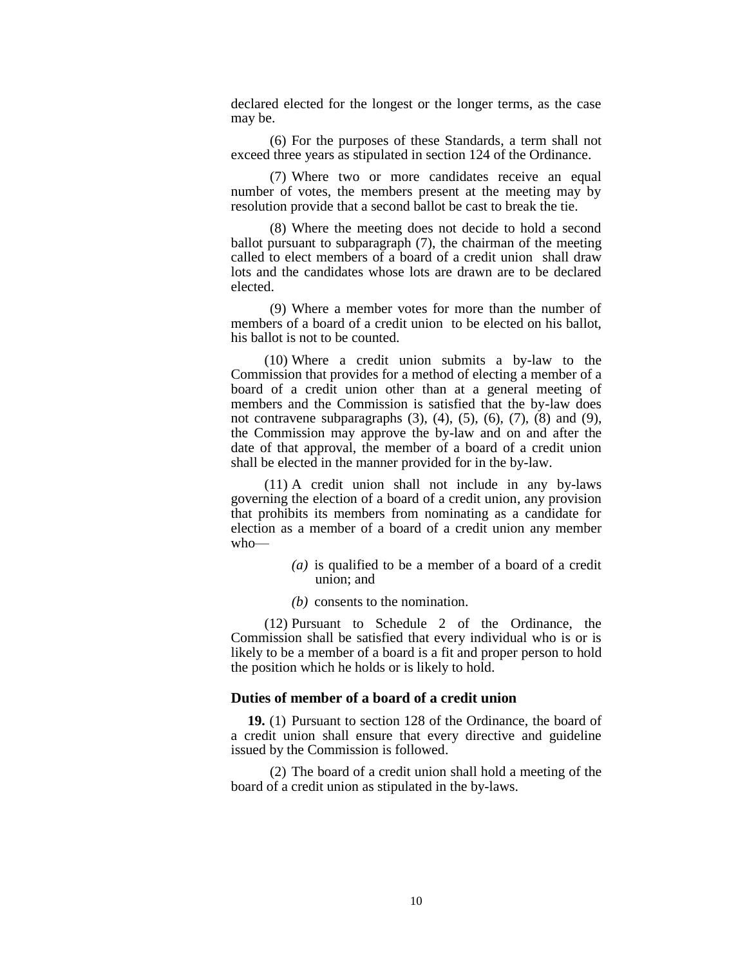declared elected for the longest or the longer terms, as the case may be.

(6) For the purposes of these Standards, a term shall not exceed three years as stipulated in section 124 of the Ordinance.

(7) Where two or more candidates receive an equal number of votes, the members present at the meeting may by resolution provide that a second ballot be cast to break the tie.

(8) Where the meeting does not decide to hold a second ballot pursuant to subparagraph (7), the chairman of the meeting called to elect members of a board of a credit union shall draw lots and the candidates whose lots are drawn are to be declared elected.

(9) Where a member votes for more than the number of members of a board of a credit union to be elected on his ballot, his ballot is not to be counted.

(10) Where a credit union submits a by-law to the Commission that provides for a method of electing a member of a board of a credit union other than at a general meeting of members and the Commission is satisfied that the by-law does not contravene subparagraphs  $(3)$ ,  $(4)$ ,  $(5)$ ,  $(6)$ ,  $(7)$ ,  $(8)$  and  $(9)$ , the Commission may approve the by-law and on and after the date of that approval, the member of a board of a credit union shall be elected in the manner provided for in the by-law.

(11) A credit union shall not include in any by-laws governing the election of a board of a credit union, any provision that prohibits its members from nominating as a candidate for election as a member of a board of a credit union any member who—

- *(a)* is qualified to be a member of a board of a credit union; and
- *(b)* consents to the nomination.

(12) Pursuant to Schedule 2 of the Ordinance, the Commission shall be satisfied that every individual who is or is likely to be a member of a board is a fit and proper person to hold the position which he holds or is likely to hold.

### **Duties of member of a board of a credit union**

**19.** (1) Pursuant to section 128 of the Ordinance, the board of a credit union shall ensure that every directive and guideline issued by the Commission is followed.

(2) The board of a credit union shall hold a meeting of the board of a credit union as stipulated in the by-laws.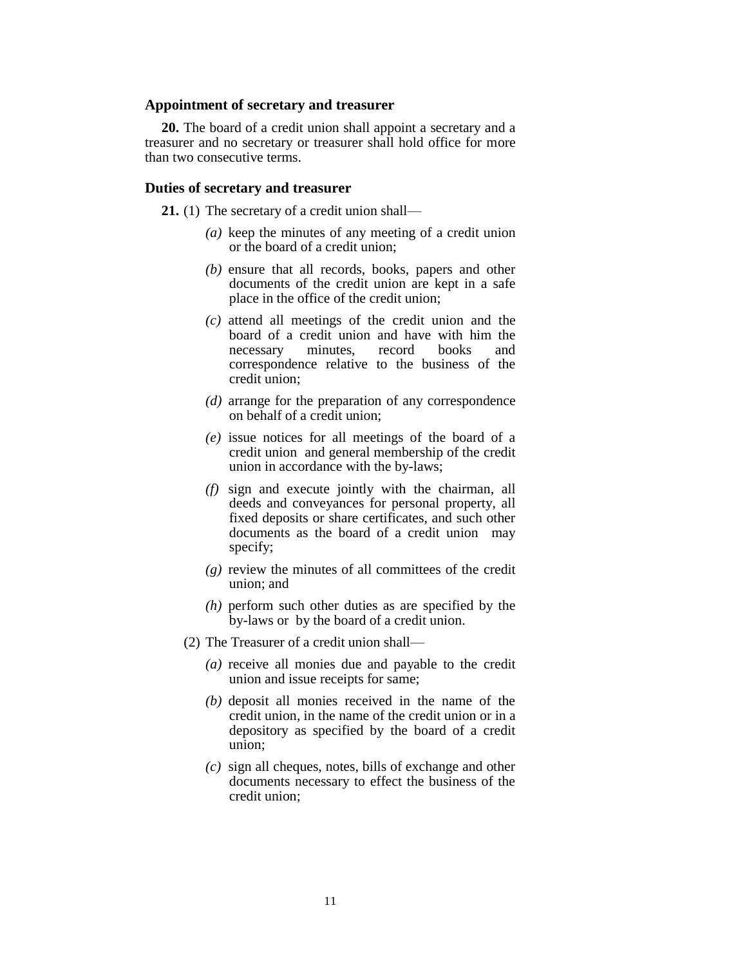#### **Appointment of secretary and treasurer**

**20.** The board of a credit union shall appoint a secretary and a treasurer and no secretary or treasurer shall hold office for more than two consecutive terms.

# **Duties of secretary and treasurer**

**21.** (1) The secretary of a credit union shall—

- *(a)* keep the minutes of any meeting of a credit union or the board of a credit union;
- *(b)* ensure that all records, books, papers and other documents of the credit union are kept in a safe place in the office of the credit union;
- *(c)* attend all meetings of the credit union and the board of a credit union and have with him the<br>necessary minutes, record books and necessary minutes, record books and correspondence relative to the business of the credit union;
- *(d)* arrange for the preparation of any correspondence on behalf of a credit union;
- *(e)* issue notices for all meetings of the board of a credit union and general membership of the credit union in accordance with the by-laws;
- *(f)* sign and execute jointly with the chairman, all deeds and conveyances for personal property, all fixed deposits or share certificates, and such other documents as the board of a credit union may specify;
- *(g)* review the minutes of all committees of the credit union; and
- *(h)* perform such other duties as are specified by the by-laws or by the board of a credit union.
- (2) The Treasurer of a credit union shall—
	- *(a)* receive all monies due and payable to the credit union and issue receipts for same;
	- *(b)* deposit all monies received in the name of the credit union, in the name of the credit union or in a depository as specified by the board of a credit union;
	- *(c)* sign all cheques, notes, bills of exchange and other documents necessary to effect the business of the credit union;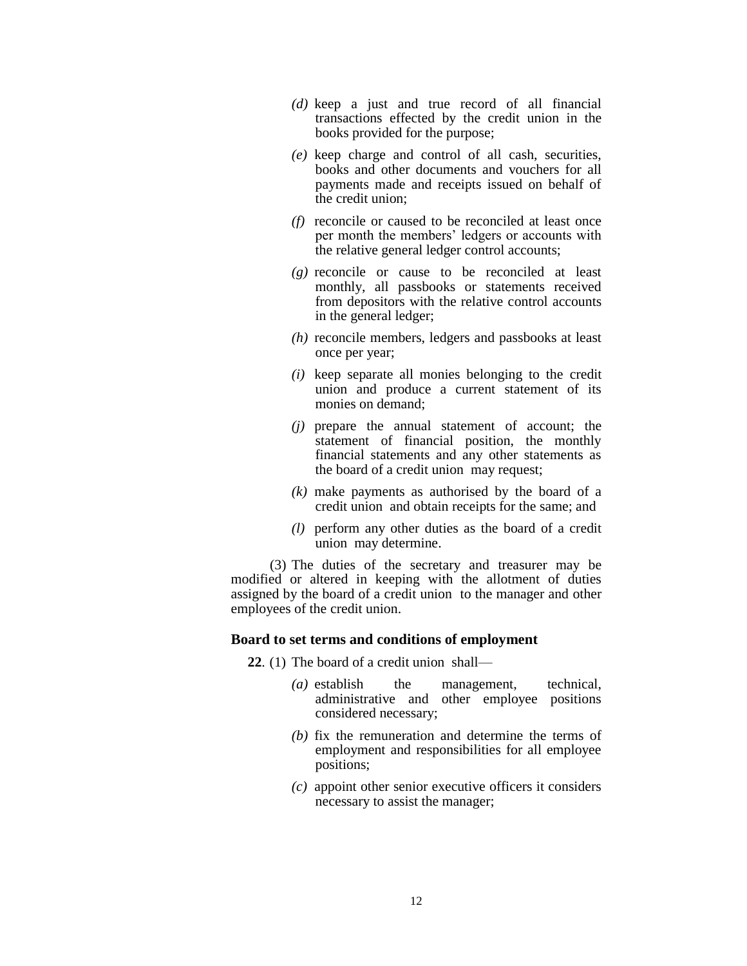- *(d)* keep a just and true record of all financial transactions effected by the credit union in the books provided for the purpose;
- *(e)* keep charge and control of all cash, securities, books and other documents and vouchers for all payments made and receipts issued on behalf of the credit union;
- *(f)* reconcile or caused to be reconciled at least once per month the members' ledgers or accounts with the relative general ledger control accounts;
- *(g)* reconcile or cause to be reconciled at least monthly, all passbooks or statements received from depositors with the relative control accounts in the general ledger;
- *(h)* reconcile members, ledgers and passbooks at least once per year;
- *(i)* keep separate all monies belonging to the credit union and produce a current statement of its monies on demand;
- *(j)* prepare the annual statement of account; the statement of financial position, the monthly financial statements and any other statements as the board of a credit union may request;
- *(k)* make payments as authorised by the board of a credit union and obtain receipts for the same; and
- *(l)* perform any other duties as the board of a credit union may determine.

(3) The duties of the secretary and treasurer may be modified or altered in keeping with the allotment of duties assigned by the board of a credit union to the manager and other employees of the credit union.

# **Board to set terms and conditions of employment**

**22**. (1) The board of a credit union shall—

- *(a)* establish the management, technical, administrative and other employee positions considered necessary;
- *(b)* fix the remuneration and determine the terms of employment and responsibilities for all employee positions;
- *(c)* appoint other senior executive officers it considers necessary to assist the manager;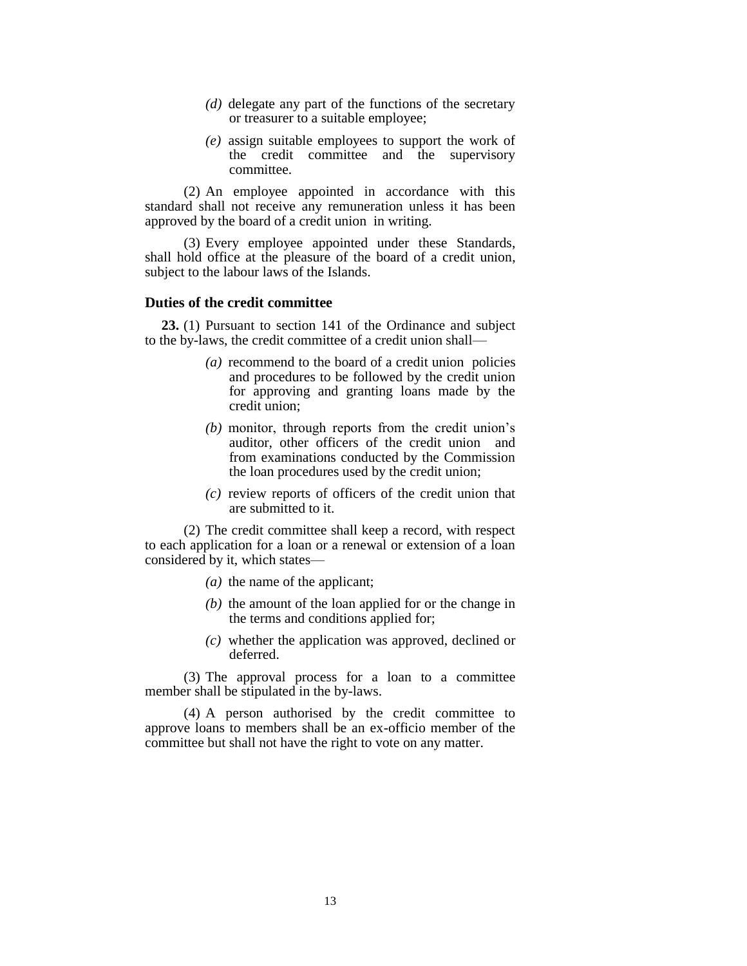- *(d)* delegate any part of the functions of the secretary or treasurer to a suitable employee;
- *(e)* assign suitable employees to support the work of the credit committee and the supervisory committee.

(2) An employee appointed in accordance with this standard shall not receive any remuneration unless it has been approved by the board of a credit union in writing.

(3) Every employee appointed under these Standards, shall hold office at the pleasure of the board of a credit union, subject to the labour laws of the Islands.

## **Duties of the credit committee**

**23.** (1) Pursuant to section 141 of the Ordinance and subject to the by-laws, the credit committee of a credit union shall—

- *(a)* recommend to the board of a credit union policies and procedures to be followed by the credit union for approving and granting loans made by the credit union;
- *(b)* monitor, through reports from the credit union's auditor, other officers of the credit union and from examinations conducted by the Commission the loan procedures used by the credit union;
- *(c)* review reports of officers of the credit union that are submitted to it.

(2) The credit committee shall keep a record, with respect to each application for a loan or a renewal or extension of a loan considered by it, which states—

- *(a)* the name of the applicant;
- *(b)* the amount of the loan applied for or the change in the terms and conditions applied for;
- *(c)* whether the application was approved, declined or deferred.

(3) The approval process for a loan to a committee member shall be stipulated in the by-laws.

(4) A person authorised by the credit committee to approve loans to members shall be an ex-officio member of the committee but shall not have the right to vote on any matter.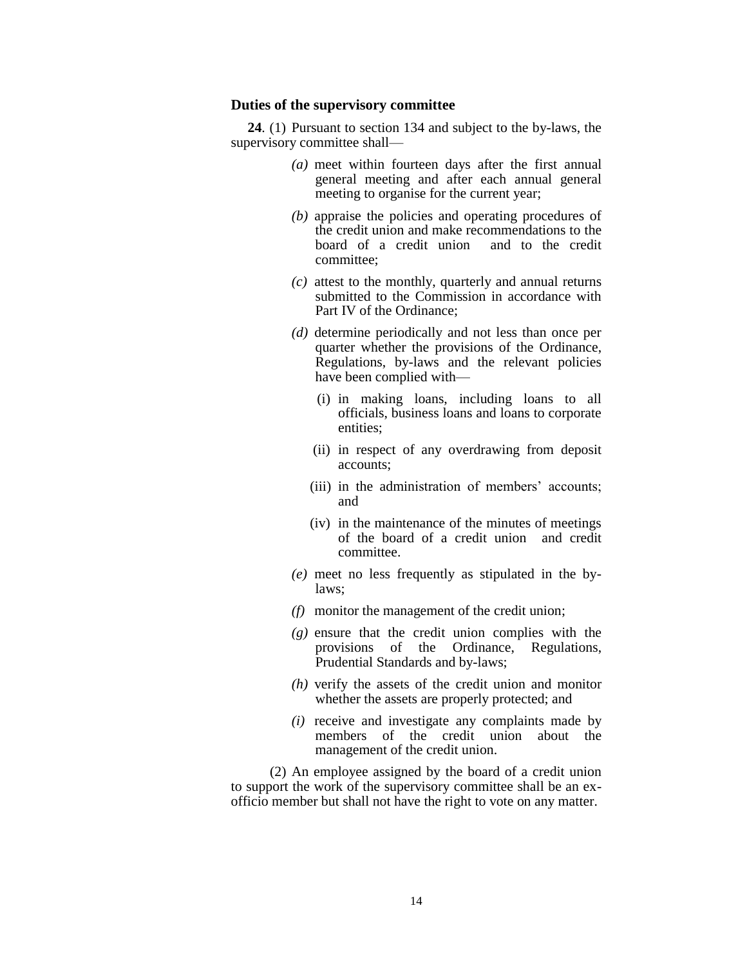#### **Duties of the supervisory committee**

**24**. (1) Pursuant to section 134 and subject to the by-laws, the supervisory committee shall—

- *(a)* meet within fourteen days after the first annual general meeting and after each annual general meeting to organise for the current year;
- *(b)* appraise the policies and operating procedures of the credit union and make recommendations to the board of a credit union and to the credit committee;
- *(c)* attest to the monthly, quarterly and annual returns submitted to the Commission in accordance with Part IV of the Ordinance;
- *(d)* determine periodically and not less than once per quarter whether the provisions of the Ordinance, Regulations, by-laws and the relevant policies have been complied with—
	- (i) in making loans, including loans to all officials, business loans and loans to corporate entities;
	- (ii) in respect of any overdrawing from deposit accounts;
	- (iii) in the administration of members' accounts; and
	- (iv) in the maintenance of the minutes of meetings of the board of a credit union and credit committee.
- *(e)* meet no less frequently as stipulated in the bylaws;
- *(f)* monitor the management of the credit union;
- *(g)* ensure that the credit union complies with the provisions of the Ordinance, Regulations, Prudential Standards and by-laws;
- *(h)* verify the assets of the credit union and monitor whether the assets are properly protected; and
- *(i)* receive and investigate any complaints made by members of the credit union about the management of the credit union.

(2) An employee assigned by the board of a credit union to support the work of the supervisory committee shall be an exofficio member but shall not have the right to vote on any matter.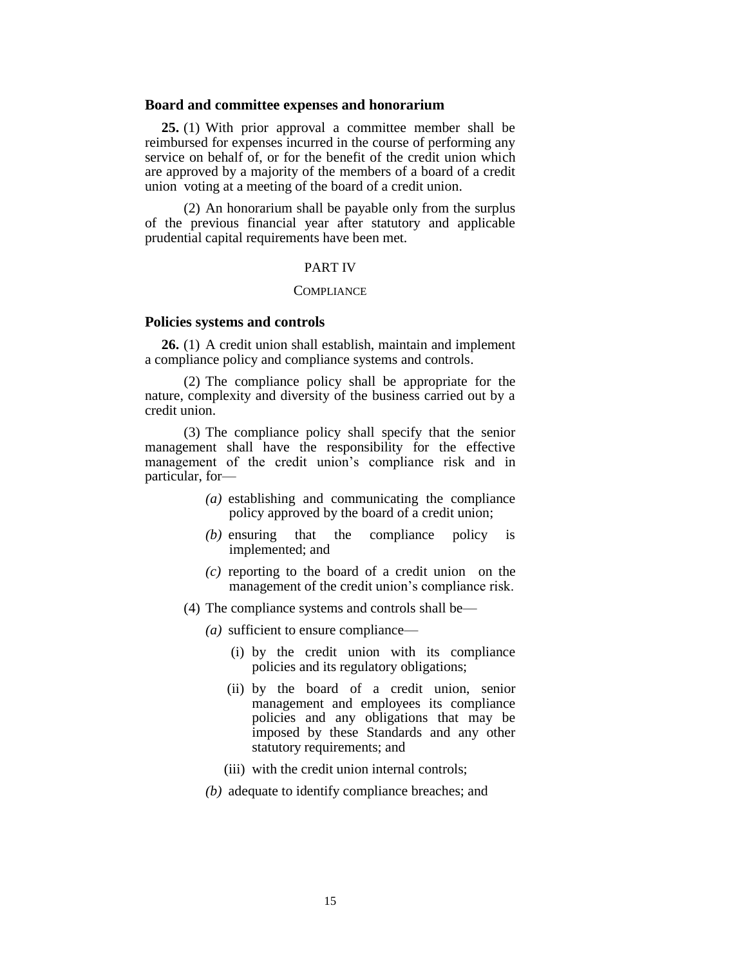#### **Board and committee expenses and honorarium**

**25.** (1) With prior approval a committee member shall be reimbursed for expenses incurred in the course of performing any service on behalf of, or for the benefit of the credit union which are approved by a majority of the members of a board of a credit union voting at a meeting of the board of a credit union.

(2) An honorarium shall be payable only from the surplus of the previous financial year after statutory and applicable prudential capital requirements have been met.

#### PART IV

#### **COMPLIANCE**

### **Policies systems and controls**

**26.** (1) A credit union shall establish, maintain and implement a compliance policy and compliance systems and controls.

(2) The compliance policy shall be appropriate for the nature, complexity and diversity of the business carried out by a credit union.

(3) The compliance policy shall specify that the senior management shall have the responsibility for the effective management of the credit union's compliance risk and in particular, for—

- *(a)* establishing and communicating the compliance policy approved by the board of a credit union;
- *(b)* ensuring that the compliance policy is implemented; and
- *(c)* reporting to the board of a credit union on the management of the credit union's compliance risk.
- (4) The compliance systems and controls shall be—
	- *(a)* sufficient to ensure compliance—
		- (i) by the credit union with its compliance policies and its regulatory obligations;
		- (ii) by the board of a credit union, senior management and employees its compliance policies and any obligations that may be imposed by these Standards and any other statutory requirements; and
		- (iii) with the credit union internal controls;
	- *(b)* adequate to identify compliance breaches; and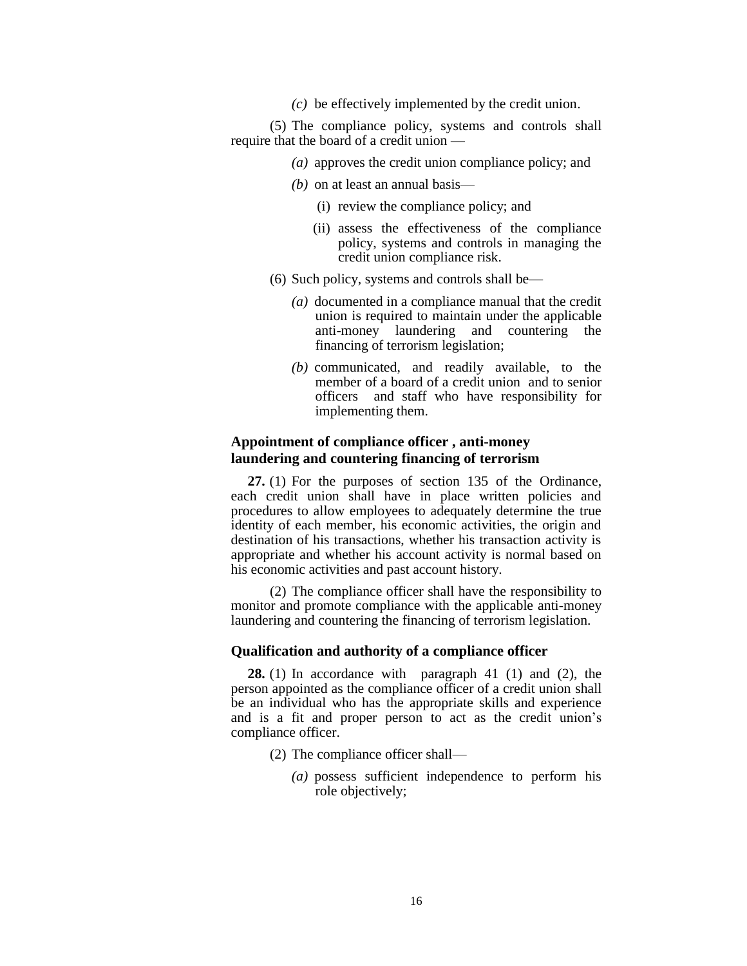*(c)* be effectively implemented by the credit union.

(5) The compliance policy, systems and controls shall require that the board of a credit union —

- *(a)* approves the credit union compliance policy; and
- *(b)* on at least an annual basis—
	- (i) review the compliance policy; and
	- (ii) assess the effectiveness of the compliance policy, systems and controls in managing the credit union compliance risk.
- (6) Such policy, systems and controls shall be—
	- *(a)* documented in a compliance manual that the credit union is required to maintain under the applicable anti-money laundering and countering the financing of terrorism legislation;
	- *(b)* communicated, and readily available, to the member of a board of a credit union and to senior officers and staff who have responsibility for implementing them.

# **Appointment of compliance officer , anti-money laundering and countering financing of terrorism**

**27.** (1) For the purposes of section 135 of the Ordinance, each credit union shall have in place written policies and procedures to allow employees to adequately determine the true identity of each member, his economic activities, the origin and destination of his transactions, whether his transaction activity is appropriate and whether his account activity is normal based on his economic activities and past account history.

(2) The compliance officer shall have the responsibility to monitor and promote compliance with the applicable anti-money laundering and countering the financing of terrorism legislation.

### **Qualification and authority of a compliance officer**

**28.** (1) In accordance with paragraph 41 (1) and (2), the person appointed as the compliance officer of a credit union shall be an individual who has the appropriate skills and experience and is a fit and proper person to act as the credit union's compliance officer.

- (2) The compliance officer shall—
	- *(a)* possess sufficient independence to perform his role objectively;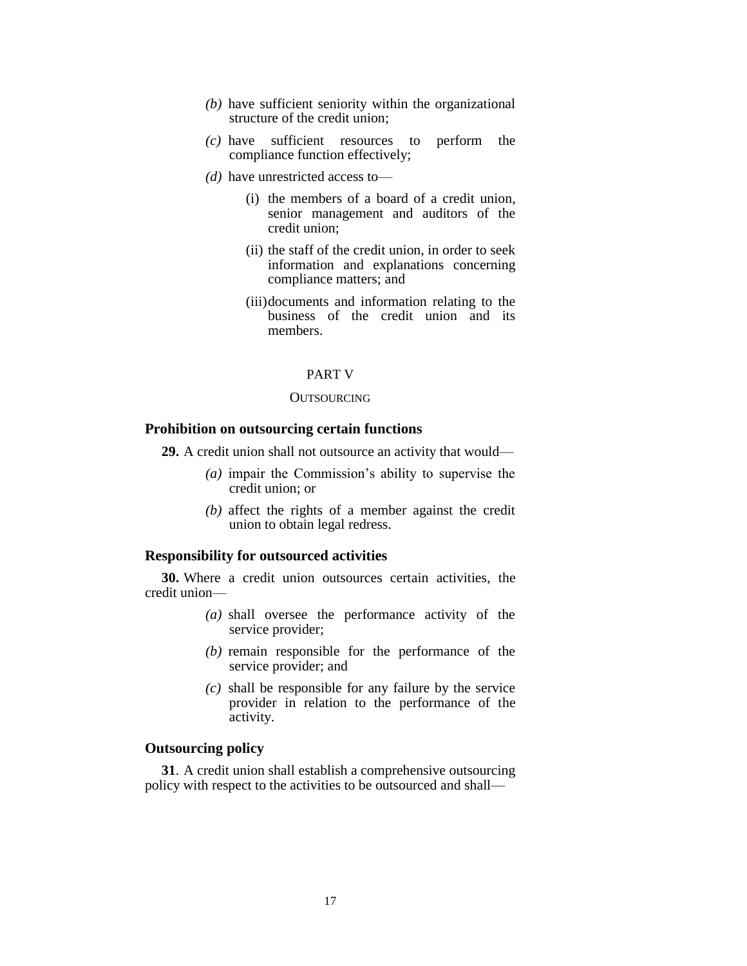- *(b)* have sufficient seniority within the organizational structure of the credit union;
- *(c)* have sufficient resources to perform the compliance function effectively;
- *(d)* have unrestricted access to—
	- (i) the members of a board of a credit union, senior management and auditors of the credit union;
	- (ii) the staff of the credit union, in order to seek information and explanations concerning compliance matters; and
	- (iii)documents and information relating to the business of the credit union and its members.

#### PART V

#### **OUTSOURCING**

# **Prohibition on outsourcing certain functions**

**29.** A credit union shall not outsource an activity that would—

- *(a)* impair the Commission's ability to supervise the credit union; or
- *(b)* affect the rights of a member against the credit union to obtain legal redress.

# **Responsibility for outsourced activities**

**30.** Where a credit union outsources certain activities, the credit union—

- *(a)* shall oversee the performance activity of the service provider;
- *(b)* remain responsible for the performance of the service provider; and
- *(c)* shall be responsible for any failure by the service provider in relation to the performance of the activity.

# **Outsourcing policy**

**31**. A credit union shall establish a comprehensive outsourcing policy with respect to the activities to be outsourced and shall—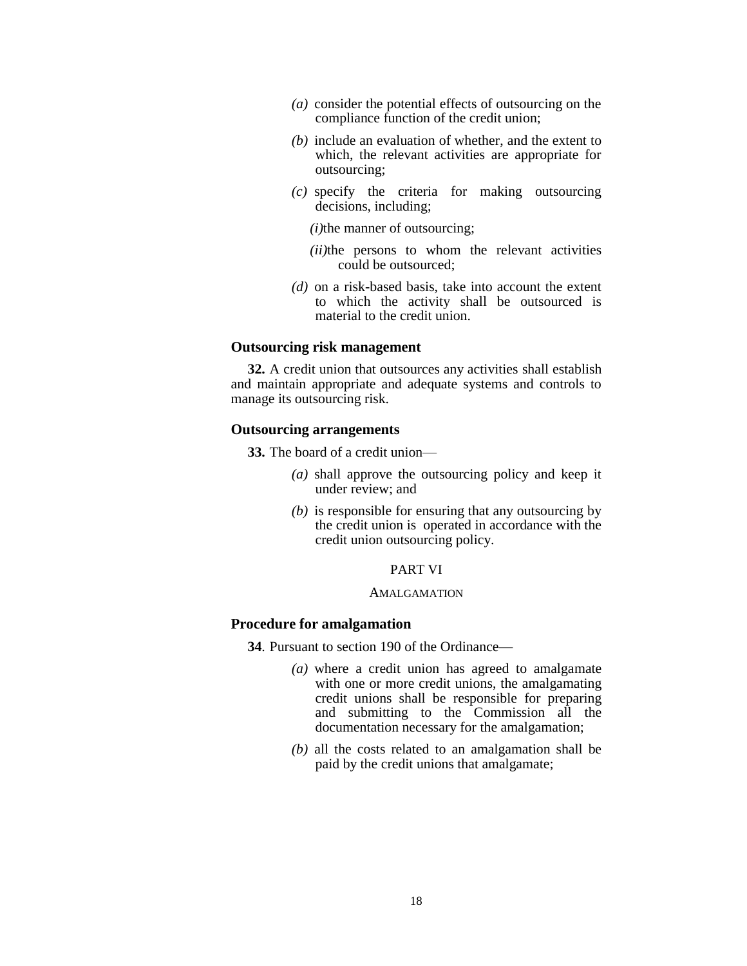- *(a)* consider the potential effects of outsourcing on the compliance function of the credit union;
- *(b)* include an evaluation of whether, and the extent to which, the relevant activities are appropriate for outsourcing;
- *(c)* specify the criteria for making outsourcing decisions, including;
	- *(i)*the manner of outsourcing;
	- *(ii)*the persons to whom the relevant activities could be outsourced;
- *(d)* on a risk-based basis, take into account the extent to which the activity shall be outsourced is material to the credit union.

# **Outsourcing risk management**

**32.** A credit union that outsources any activities shall establish and maintain appropriate and adequate systems and controls to manage its outsourcing risk.

## **Outsourcing arrangements**

**33.** The board of a credit union—

- *(a)* shall approve the outsourcing policy and keep it under review; and
- *(b)* is responsible for ensuring that any outsourcing by the credit union is operated in accordance with the credit union outsourcing policy.

### PART VI

### AMALGAMATION

## **Procedure for amalgamation**

**34**. Pursuant to section 190 of the Ordinance—

- *(a)* where a credit union has agreed to amalgamate with one or more credit unions, the amalgamating credit unions shall be responsible for preparing and submitting to the Commission all the documentation necessary for the amalgamation;
- *(b)* all the costs related to an amalgamation shall be paid by the credit unions that amalgamate;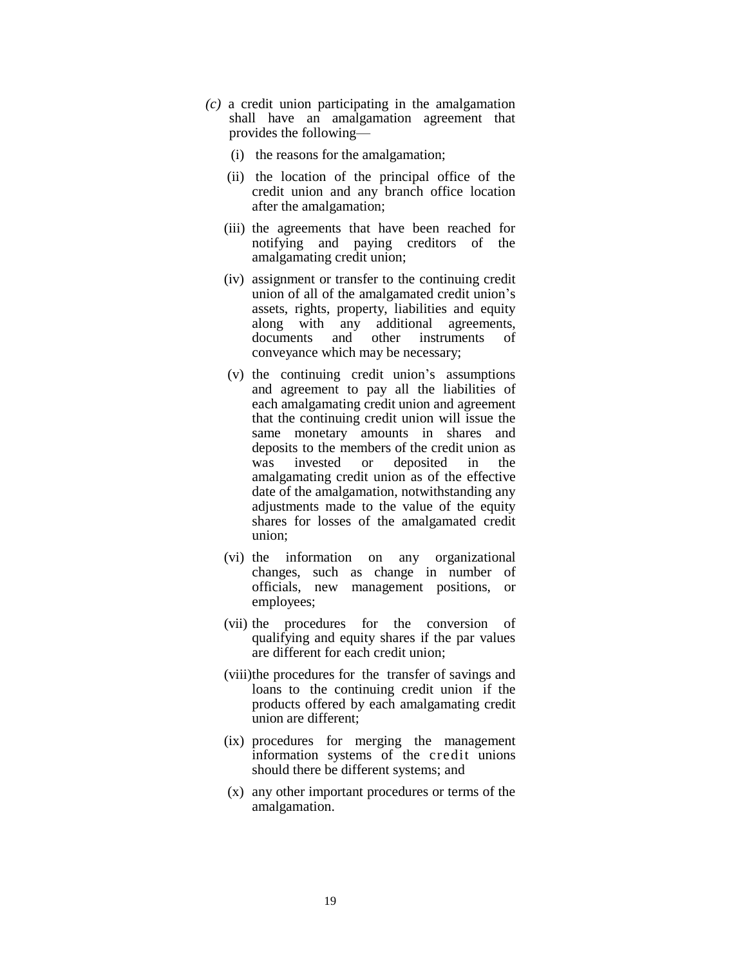- *(c)* a credit union participating in the amalgamation shall have an amalgamation agreement that provides the following—
	- (i) the reasons for the amalgamation;
	- (ii) the location of the principal office of the credit union and any branch office location after the amalgamation;
	- (iii) the agreements that have been reached for notifying and paying creditors of the amalgamating credit union;
	- (iv) assignment or transfer to the continuing credit union of all of the amalgamated credit union's assets, rights, property, liabilities and equity along with any additional agreements, documents and other instruments of conveyance which may be necessary;
	- (v) the continuing credit union's assumptions and agreement to pay all the liabilities of each amalgamating credit union and agreement that the continuing credit union will issue the same monetary amounts in shares and deposits to the members of the credit union as<br>was invested or deposited in the was invested or deposited in the amalgamating credit union as of the effective date of the amalgamation, notwithstanding any adjustments made to the value of the equity shares for losses of the amalgamated credit union;
	- (vi) the information on any organizational changes, such as change in number of officials, new management positions, or employees;
	- (vii) the procedures for the conversion of qualifying and equity shares if the par values are different for each credit union;
	- (viii)the procedures for the transfer of savings and loans to the continuing credit union if the products offered by each amalgamating credit union are different;
	- (ix) procedures for merging the management information systems of the credit unions should there be different systems; and
	- (x) any other important procedures or terms of the amalgamation.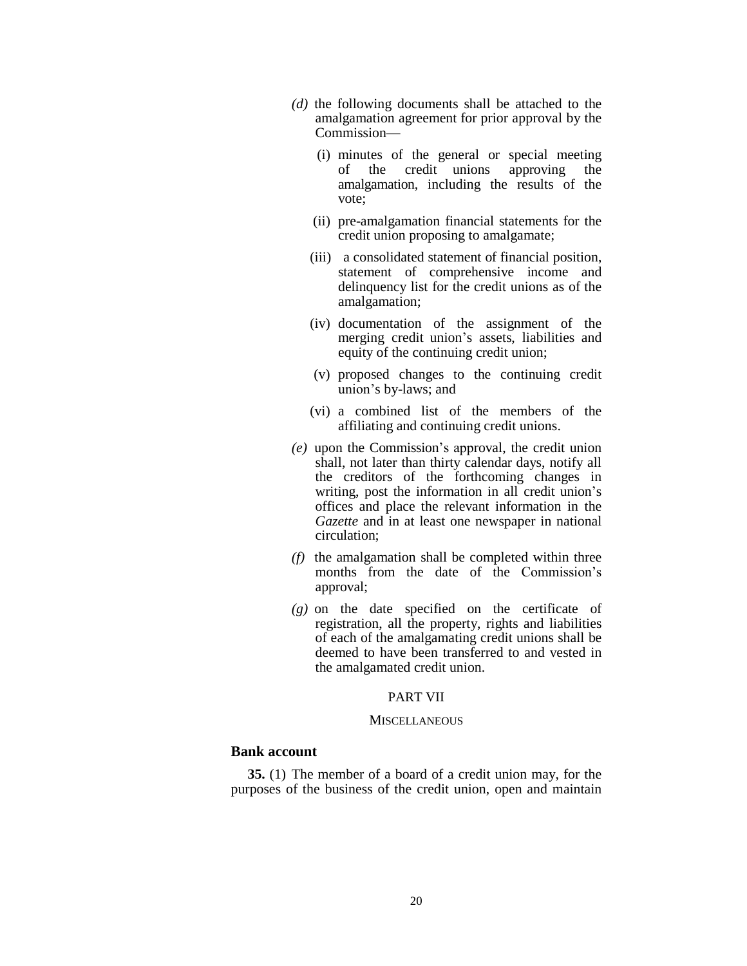- *(d)* the following documents shall be attached to the amalgamation agreement for prior approval by the Commission—
	- (i) minutes of the general or special meeting of the credit unions approving the amalgamation, including the results of the vote;
	- (ii) pre-amalgamation financial statements for the credit union proposing to amalgamate;
	- (iii) a consolidated statement of financial position, statement of comprehensive income and delinquency list for the credit unions as of the amalgamation;
	- (iv) documentation of the assignment of the merging credit union's assets, liabilities and equity of the continuing credit union;
	- (v) proposed changes to the continuing credit union's by-laws; and
	- (vi) a combined list of the members of the affiliating and continuing credit unions.
- *(e)* upon the Commission's approval, the credit union shall, not later than thirty calendar days, notify all the creditors of the forthcoming changes in writing, post the information in all credit union's offices and place the relevant information in the *Gazette* and in at least one newspaper in national circulation;
- *(f)* the amalgamation shall be completed within three months from the date of the Commission's approval;
- *(g)* on the date specified on the certificate of registration, all the property, rights and liabilities of each of the amalgamating credit unions shall be deemed to have been transferred to and vested in the amalgamated credit union.

# PART VII

#### **MISCELLANEOUS**

# **Bank account**

**35.** (1) The member of a board of a credit union may, for the purposes of the business of the credit union, open and maintain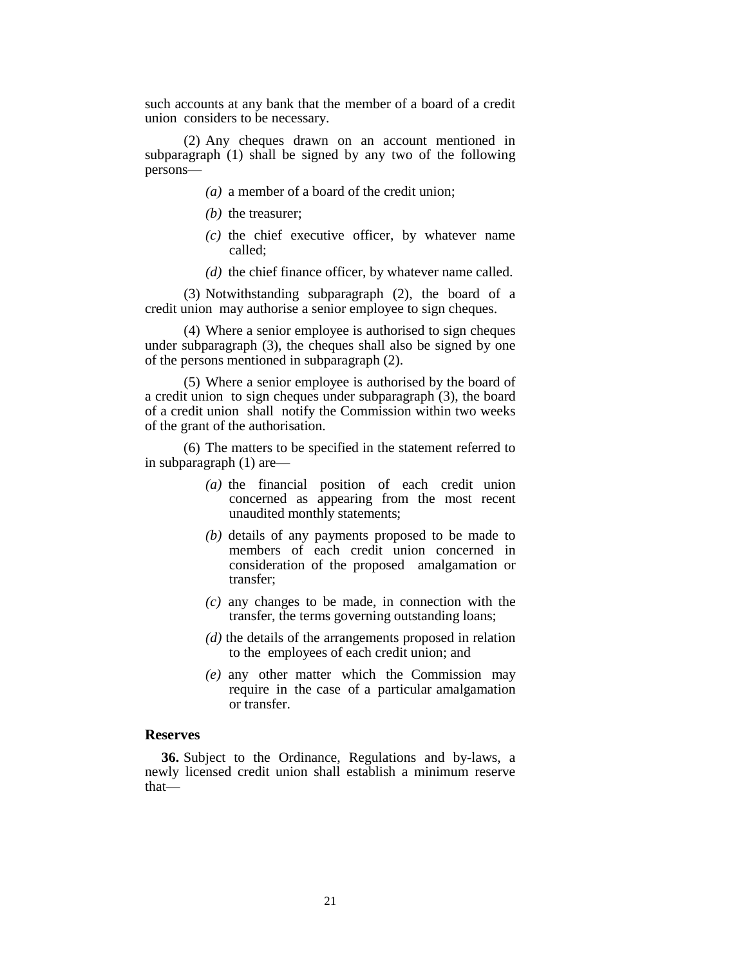such accounts at any bank that the member of a board of a credit union considers to be necessary.

(2) Any cheques drawn on an account mentioned in subparagraph (1) shall be signed by any two of the following persons—

- *(a)* a member of a board of the credit union;
- *(b)* the treasurer;
- *(c)* the chief executive officer, by whatever name called;
- *(d)* the chief finance officer, by whatever name called.

(3) Notwithstanding subparagraph (2), the board of a credit union may authorise a senior employee to sign cheques.

(4) Where a senior employee is authorised to sign cheques under subparagraph (3), the cheques shall also be signed by one of the persons mentioned in subparagraph (2).

(5) Where a senior employee is authorised by the board of a credit union to sign cheques under subparagraph (3), the board of a credit union shall notify the Commission within two weeks of the grant of the authorisation.

(6) The matters to be specified in the statement referred to in subparagraph (1) are—

- *(a)* the financial position of each credit union concerned as appearing from the most recent unaudited monthly statements;
- *(b)* details of any payments proposed to be made to members of each credit union concerned in consideration of the proposed amalgamation or transfer;
- *(c)* any changes to be made, in connection with the transfer, the terms governing outstanding loans;
- *(d)* the details of the arrangements proposed in relation to the employees of each credit union; and
- *(e)* any other matter which the Commission may require in the case of a particular amalgamation or transfer.

### **Reserves**

**36.** Subject to the Ordinance, Regulations and by-laws, a newly licensed credit union shall establish a minimum reserve that—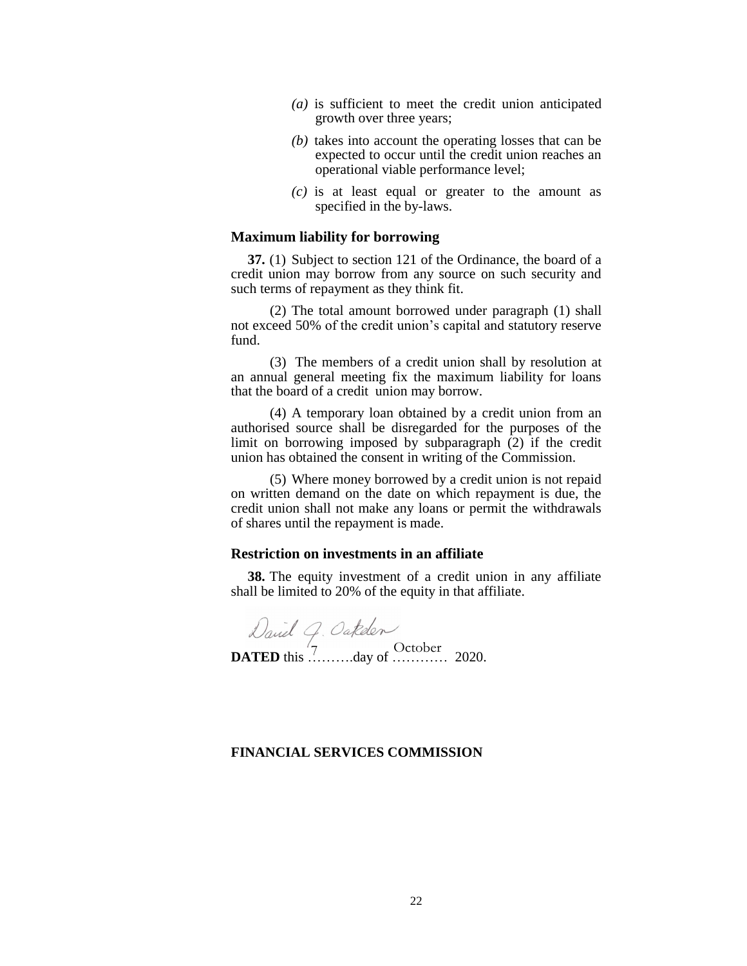- *(a)* is sufficient to meet the credit union anticipated growth over three years;
- *(b)* takes into account the operating losses that can be expected to occur until the credit union reaches an operational viable performance level;
- *(c)* is at least equal or greater to the amount as specified in the by-laws.

# **Maximum liability for borrowing**

**37.** (1) Subject to section 121 of the Ordinance, the board of a credit union may borrow from any source on such security and such terms of repayment as they think fit.

(2) The total amount borrowed under paragraph (1) shall not exceed 50% of the credit union's capital and statutory reserve fund.

(3) The members of a credit union shall by resolution at an annual general meeting fix the maximum liability for loans that the board of a credit union may borrow.

(4) A temporary loan obtained by a credit union from an authorised source shall be disregarded for the purposes of the limit on borrowing imposed by subparagraph (2) if the credit union has obtained the consent in writing of the Commission.

(5) Where money borrowed by a credit union is not repaid on written demand on the date on which repayment is due, the credit union shall not make any loans or permit the withdrawals of shares until the repayment is made.

#### **Restriction on investments in an affiliate**

**38.** The equity investment of a credit union in any affiliate shall be limited to 20% of the equity in that affiliate.

**DATED** this  $\overline{\hspace{0.1cm}}$   $\hspace{0.1cm}$   $\hspace{0.1cm}$   $\hspace{0.1cm}$   $\hspace{0.1cm}$   $\hspace{0.1cm}$   $\hspace{0.1cm}$   $\hspace{0.1cm}$   $\hspace{0.1cm}$   $\hspace{0.1cm}$   $\hspace{0.1cm}$   $\hspace{0.1cm}$   $\hspace{0.1cm}$   $\hspace{0.1cm}$   $\hspace{0.1cm}$   $\hspace{0.1cm}$   $\hspace{0.1cm}$ 

# **FINANCIAL SERVICES COMMISSION**